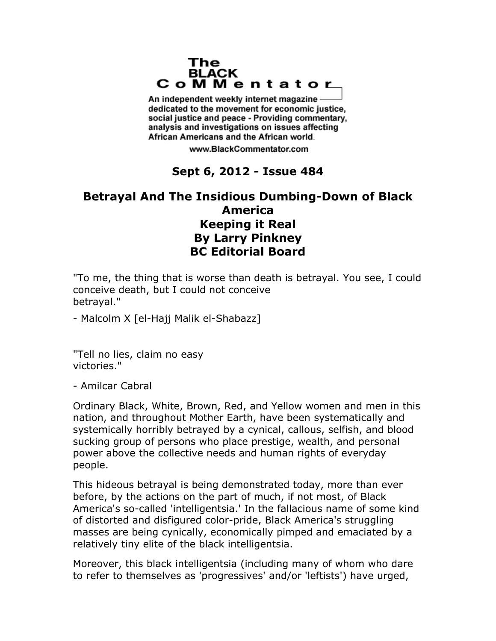## The **BLACK** CoMMentator

An independent weekly internet magazine dedicated to the movement for economic justice. social justice and peace - Providing commentary, analysis and investigations on issues affecting African Americans and the African world.

www.BlackCommentator.com

## **Sept 6, 2012 - Issue 484**

## **Betrayal And The Insidious Dumbing-Down of Black America Keeping it Real By Larry Pinkney BC Editorial Board**

"To me, the thing that is worse than death is betrayal. You see, I could conceive death, but I could not conceive betrayal."

- Malcolm X [el-Hajj Malik el-Shabazz]

"Tell no lies, claim no easy victories."

- Amilcar Cabral

Ordinary Black, White, Brown, Red, and Yellow women and men in this nation, and throughout Mother Earth, have been systematically and systemically horribly betrayed by a cynical, callous, selfish, and blood sucking group of persons who place prestige, wealth, and personal power above the collective needs and human rights of everyday people.

This hideous betrayal is being demonstrated today, more than ever before, by the actions on the part of much, if not most, of Black America's so-called 'intelligentsia.' In the fallacious name of some kind of distorted and disfigured color-pride, Black America's struggling masses are being cynically, economically pimped and emaciated by a relatively tiny elite of the black intelligentsia.

Moreover, this black intelligentsia (including many of whom who dare to refer to themselves as 'progressives' and/or 'leftists') have urged,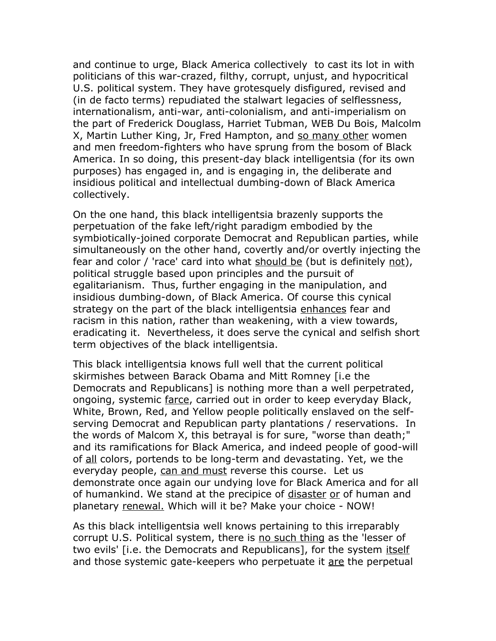and continue to urge, Black America collectively to cast its lot in with politicians of this war-crazed, filthy, corrupt, unjust, and hypocritical U.S. political system. They have grotesquely disfigured, revised and (in de facto terms) repudiated the stalwart legacies of selflessness, internationalism, anti-war, anti-colonialism, and anti-imperialism on the part of Frederick Douglass, Harriet Tubman, WEB Du Bois, Malcolm X, Martin Luther King, Jr, Fred Hampton, and so many other women and men freedom-fighters who have sprung from the bosom of Black America. In so doing, this present-day black intelligentsia (for its own purposes) has engaged in, and is engaging in, the deliberate and insidious political and intellectual dumbing-down of Black America collectively.

On the one hand, this black intelligentsia brazenly supports the perpetuation of the fake left/right paradigm embodied by the symbiotically-joined corporate Democrat and Republican parties, while simultaneously on the other hand, covertly and/or overtly injecting the fear and color / 'race' card into what should be (but is definitely not), political struggle based upon principles and the pursuit of egalitarianism. Thus, further engaging in the manipulation, and insidious dumbing-down, of Black America. Of course this cynical strategy on the part of the black intelligentsia enhances fear and racism in this nation, rather than weakening, with a view towards, eradicating it. Nevertheless, it does serve the cynical and selfish short term objectives of the black intelligentsia.

This black intelligentsia knows full well that the current political skirmishes between Barack Obama and Mitt Romney [i.e the Democrats and Republicans] is nothing more than a well perpetrated, ongoing, systemic farce, carried out in order to keep everyday Black, White, Brown, Red, and Yellow people politically enslaved on the selfserving Democrat and Republican party plantations / reservations. In the words of Malcom X, this betrayal is for sure, "worse than death;" and its ramifications for Black America, and indeed people of good-will of all colors, portends to be long-term and devastating. Yet, we the everyday people, can and must reverse this course. Let us demonstrate once again our undying love for Black America and for all of humankind. We stand at the precipice of disaster or of human and planetary renewal. Which will it be? Make your choice - NOW!

As this black intelligentsia well knows pertaining to this irreparably corrupt U.S. Political system, there is no such thing as the 'lesser of two evils' [i.e. the Democrats and Republicans], for the system itself and those systemic gate-keepers who perpetuate it are the perpetual